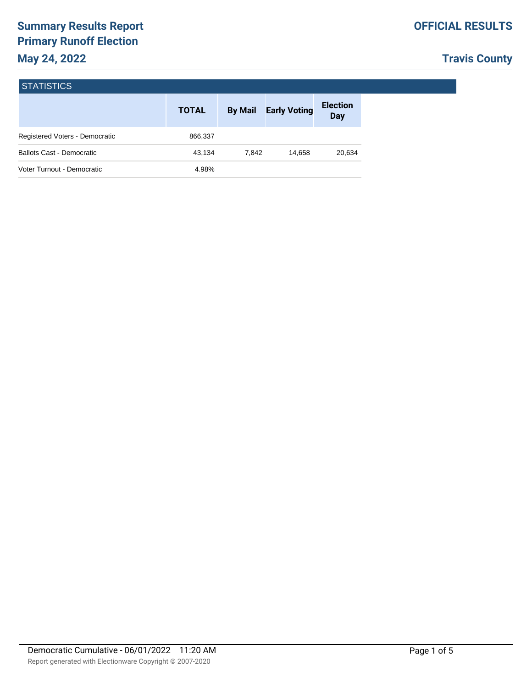| <b>STATISTICS</b> |  |
|-------------------|--|
|                   |  |

|                                  | <b>TOTAL</b> | <b>By Mail</b> | <b>Early Voting</b> | <b>Election</b><br>Day |
|----------------------------------|--------------|----------------|---------------------|------------------------|
| Registered Voters - Democratic   | 866,337      |                |                     |                        |
| <b>Ballots Cast - Democratic</b> | 43.134       | 7.842          | 14.658              | 20,634                 |
| Voter Turnout - Democratic       | 4.98%        |                |                     |                        |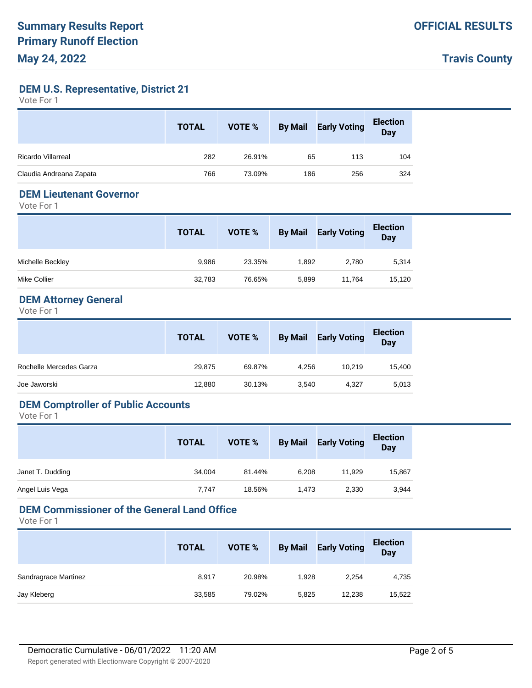**DEM U.S. Representative, District 21**

Vote For 1

|                         | <b>TOTAL</b> | VOTE % | <b>By Mail</b> | <b>Early Voting</b> | <b>Election</b><br>Day |
|-------------------------|--------------|--------|----------------|---------------------|------------------------|
| Ricardo Villarreal      | 282          | 26.91% | 65             | 113                 | 104                    |
| Claudia Andreana Zapata | 766          | 73.09% | 186            | 256                 | 324                    |

#### **DEM Lieutenant Governor**

Vote For 1

|                  | <b>TOTAL</b> | VOTE % | <b>By Mail</b> | <b>Early Voting</b> | <b>Election</b><br><b>Day</b> |
|------------------|--------------|--------|----------------|---------------------|-------------------------------|
| Michelle Beckley | 9,986        | 23.35% | 1,892          | 2,780               | 5,314                         |
| Mike Collier     | 32,783       | 76.65% | 5,899          | 11.764              | 15,120                        |

### **DEM Attorney General**

Vote For 1

|                         | <b>TOTAL</b> | VOTE % | <b>By Mail</b> | <b>Early Voting</b> | <b>Election</b><br><b>Day</b> |
|-------------------------|--------------|--------|----------------|---------------------|-------------------------------|
| Rochelle Mercedes Garza | 29,875       | 69.87% | 4.256          | 10.219              | 15,400                        |
| Joe Jaworski            | 12,880       | 30.13% | 3,540          | 4,327               | 5,013                         |

### **DEM Comptroller of Public Accounts**

Vote For 1

|                  | <b>TOTAL</b> | VOTE % | <b>By Mail</b> | <b>Early Voting</b> | <b>Election</b><br>Day |
|------------------|--------------|--------|----------------|---------------------|------------------------|
| Janet T. Dudding | 34,004       | 81.44% | 6.208          | 11.929              | 15,867                 |
| Angel Luis Vega  | 7.747        | 18.56% | 1.473          | 2,330               | 3,944                  |

### **DEM Commissioner of the General Land Office**

|                      | <b>TOTAL</b> | VOTE % | <b>By Mail</b> | <b>Early Voting</b> | <b>Election</b><br><b>Day</b> |
|----------------------|--------------|--------|----------------|---------------------|-------------------------------|
| Sandragrace Martinez | 8,917        | 20.98% | 1.928          | 2,254               | 4,735                         |
| Jay Kleberg          | 33,585       | 79.02% | 5,825          | 12,238              | 15,522                        |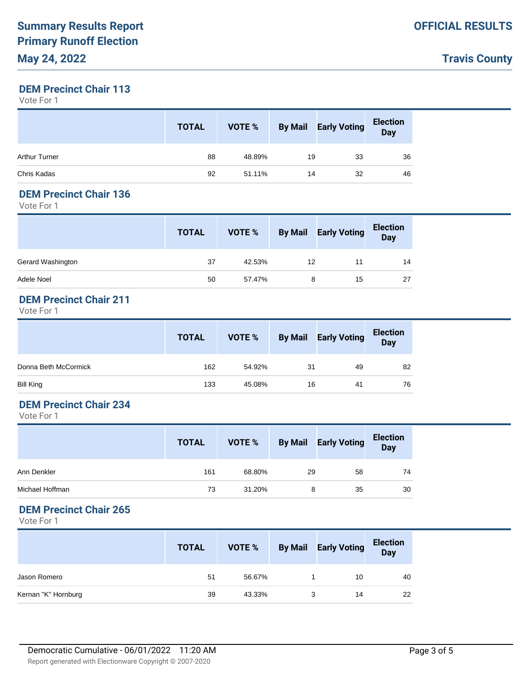### **DEM Precinct Chair 113**

Vote For 1

|                      | <b>TOTAL</b> | VOTE % | <b>By Mail</b> | <b>Early Voting</b> | <b>Election</b><br>Day |
|----------------------|--------------|--------|----------------|---------------------|------------------------|
| <b>Arthur Turner</b> | 88           | 48.89% | 19             | 33                  | 36                     |
| Chris Kadas          | 92           | 51.11% | 14             | 32                  | 46                     |

#### **DEM Precinct Chair 136**

Vote For 1

|                   | <b>TOTAL</b> | VOTE % | <b>By Mail</b> | <b>Early Voting</b> | <b>Election</b><br><b>Day</b> |
|-------------------|--------------|--------|----------------|---------------------|-------------------------------|
| Gerard Washington | 37           | 42.53% | 12             |                     | 14                            |
| Adele Noel        | 50           | 57.47% | 8              | 15                  | 27                            |

### **DEM Precinct Chair 211**

Vote For 1

|                      | <b>TOTAL</b> | VOTE % |    | <b>By Mail Early Voting</b> | <b>Election</b><br>Day |
|----------------------|--------------|--------|----|-----------------------------|------------------------|
| Donna Beth McCormick | 162          | 54.92% | 31 | 49                          | 82                     |
| Bill King            | 133          | 45.08% | 16 | 41                          | 76                     |

### **DEM Precinct Chair 234**

Vote For 1

|                 | <b>TOTAL</b> | VOTE % | <b>By Mail</b> | <b>Early Voting</b> | <b>Election</b><br>Day |
|-----------------|--------------|--------|----------------|---------------------|------------------------|
| Ann Denkler     | 161          | 68.80% | 29             | 58                  | 74                     |
| Michael Hoffman | 73           | 31.20% | 8              | 35                  | 30                     |

#### **DEM Precinct Chair 265**

|                     | <b>TOTAL</b> | VOTE % | <b>By Mail</b> | <b>Early Voting</b> | <b>Election</b><br>Day |
|---------------------|--------------|--------|----------------|---------------------|------------------------|
| Jason Romero        | 51           | 56.67% |                | 10                  | 40                     |
| Kernan "K" Hornburg | 39           | 43.33% | 3              | 14                  | 22                     |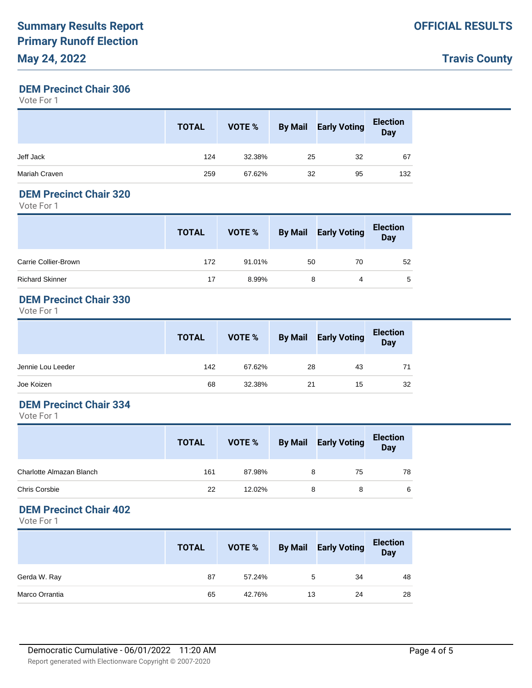#### **DEM Precinct Chair 306**

Vote For 1

|               | <b>TOTAL</b> | VOTE % | <b>By Mail</b> | <b>Early Voting</b> | <b>Election</b><br><b>Day</b> |
|---------------|--------------|--------|----------------|---------------------|-------------------------------|
| Jeff Jack     | 124          | 32.38% | 25             | 32                  | 67                            |
| Mariah Craven | 259          | 67.62% | 32             | 95                  | 132                           |

#### **DEM Precinct Chair 320**

Vote For 1

|                      | <b>TOTAL</b> | VOTE % |    | <b>By Mail Early Voting</b> | <b>Election</b><br><b>Day</b> |
|----------------------|--------------|--------|----|-----------------------------|-------------------------------|
| Carrie Collier-Brown | 172          | 91.01% | 50 | 70                          | 52                            |
| Richard Skinner      | 17           | 8.99%  | 8  | 4                           | 5                             |

### **DEM Precinct Chair 330**

Vote For 1

|                   | <b>TOTAL</b> | VOTE % |    | By Mail Early Voting | <b>Election</b><br>Day |
|-------------------|--------------|--------|----|----------------------|------------------------|
| Jennie Lou Leeder | 142          | 67.62% | 28 | 43                   | 71                     |
| Joe Koizen        | 68           | 32.38% | 21 | 15                   | 32                     |

### **DEM Precinct Chair 334**

Vote For 1

|                          | <b>TOTAL</b> | VOTE % | <b>By Mail</b> | <b>Early Voting</b> | <b>Election</b><br>Day |
|--------------------------|--------------|--------|----------------|---------------------|------------------------|
| Charlotte Almazan Blanch | 161          | 87.98% | 8              | 75                  | 78                     |
| Chris Corsbie            | 22           | 12.02% | 8              | 8                   | 6                      |

#### **DEM Precinct Chair 402**

|                | <b>TOTAL</b> | VOTE % | <b>By Mail</b> | <b>Early Voting</b> | <b>Election</b><br>Day |
|----------------|--------------|--------|----------------|---------------------|------------------------|
| Gerda W. Ray   | 87           | 57.24% | 5              | 34                  | 48                     |
| Marco Orrantia | 65           | 42.76% | 13             | 24                  | 28                     |